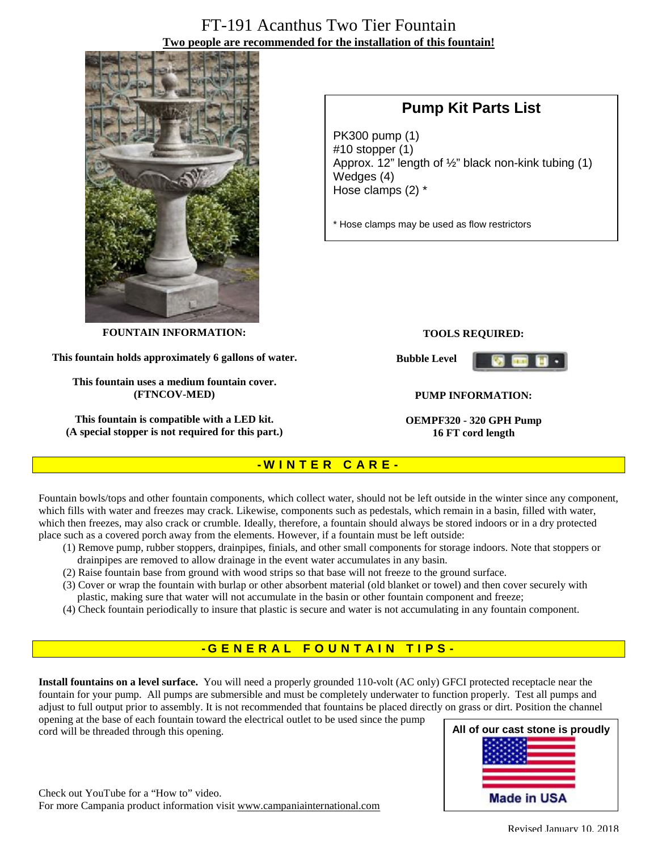# FT-191 Acanthus Two Tier Fountain **Two people are recommended for the installation of this fountain!**



# **Pump Kit Parts List**

PK300 pump (1) #10 stopper (1) Approx. 12" length of ½" black non-kink tubing (1) Wedges (4) Hose clamps (2) \*

\* Hose clamps may be used as flow restrictors

**FOUNTAIN INFORMATION:** 

**This fountain holds approximately 6 gallons of water.** 

**This fountain uses a medium fountain cover. (FTNCOV-MED)** 

**This fountain is compatible with a LED kit. (A special stopper is not required for this part.)**

#### **TOOLS REQUIRED:**

**Bubble Level** 



#### **PUMP INFORMATION:**

**OEMPF320 - 320 GPH Pump 16 FT cord length**

### **- W I N T E R C A R E -**

Fountain bowls/tops and other fountain components, which collect water, should not be left outside in the winter since any component, which fills with water and freezes may crack. Likewise, components such as pedestals, which remain in a basin, filled with water, which then freezes, may also crack or crumble. Ideally, therefore, a fountain should always be stored indoors or in a dry protected place such as a covered porch away from the elements. However, if a fountain must be left outside:

- (1) Remove pump, rubber stoppers, drainpipes, finials, and other small components for storage indoors. Note that stoppers or drainpipes are removed to allow drainage in the event water accumulates in any basin.
- (2) Raise fountain base from ground with wood strips so that base will not freeze to the ground surface.
- (3) Cover or wrap the fountain with burlap or other absorbent material (old blanket or towel) and then cover securely with plastic, making sure that water will not accumulate in the basin or other fountain component and freeze;
- (4) Check fountain periodically to insure that plastic is secure and water is not accumulating in any fountain component.

### **- G ENE R A L F O U N T A I N T I P S -**

**Install fountains on a level surface.** You will need a properly grounded 110-volt (AC only) GFCI protected receptacle near the fountain for your pump. All pumps are submersible and must be completely underwater to function properly. Test all pumps and adjust to full output prior to assembly. It is not recommended that fountains be placed directly on grass or dirt. Position the channel opening at the base of each fountain toward the electrical outlet to be used since the pump

cord will be threaded through this opening.



Check out YouTube for a "How to" video. For more Campania product information visit [www.campaniainternational.com](http://www.campaniainternational.com)